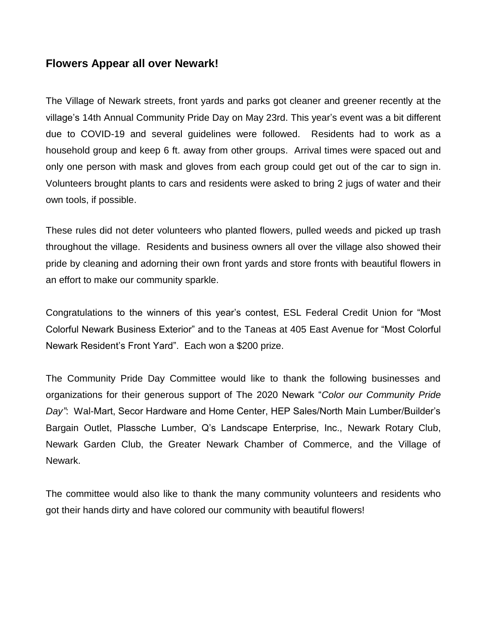## **Flowers Appear all over Newark!**

The Village of Newark streets, front yards and parks got cleaner and greener recently at the village's 14th Annual Community Pride Day on May 23rd. This year's event was a bit different due to COVID-19 and several guidelines were followed. Residents had to work as a household group and keep 6 ft. away from other groups. Arrival times were spaced out and only one person with mask and gloves from each group could get out of the car to sign in. Volunteers brought plants to cars and residents were asked to bring 2 jugs of water and their own tools, if possible.

These rules did not deter volunteers who planted flowers, pulled weeds and picked up trash throughout the village. Residents and business owners all over the village also showed their pride by cleaning and adorning their own front yards and store fronts with beautiful flowers in an effort to make our community sparkle.

Congratulations to the winners of this year's contest, ESL Federal Credit Union for "Most Colorful Newark Business Exterior" and to the Taneas at 405 East Avenue for "Most Colorful Newark Resident's Front Yard". Each won a \$200 prize.

The Community Pride Day Committee would like to thank the following businesses and organizations for their generous support of The 2020 Newark "*Color our Community Pride Day"*: Wal-Mart, Secor Hardware and Home Center, HEP Sales/North Main Lumber/Builder's Bargain Outlet, Plassche Lumber, Q's Landscape Enterprise, Inc., Newark Rotary Club, Newark Garden Club, the Greater Newark Chamber of Commerce, and the Village of Newark.

The committee would also like to thank the many community volunteers and residents who got their hands dirty and have colored our community with beautiful flowers!